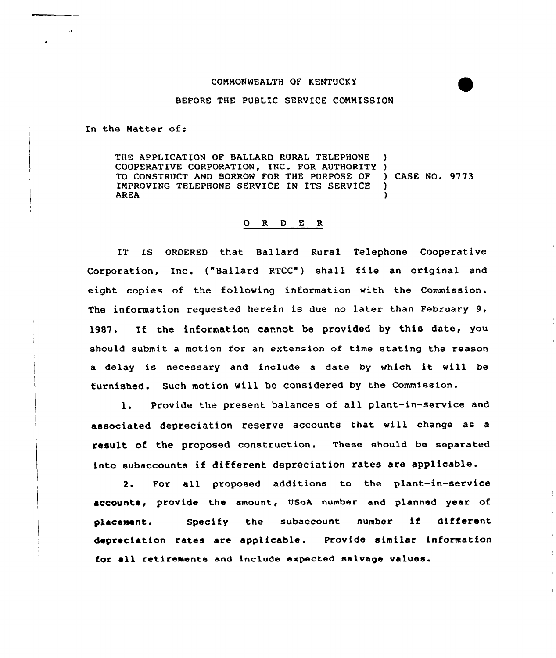## CONNONWEALTH OF KENTUCKY

## BEFORE THE PUBLIC SERVICE CONNISSION

In the Natter of:

THE APPLICATION OF BALLARD RURAL TELEPHONE COOPERATIVE CORPORATION, INC. FOR AUTHORITY ) TO CONSTRUCT AND BORROW FOR THE PURPOSE OF ) CASE NO. 9773 IMPROVING TELEPHONE SERVICE IN ITS SERVICE )<br>AREA (1) AREA )

## 0 R <sup>D</sup> E <sup>R</sup>

IT Is oRDERED that Ballard Rural Telephone Cooperative Corporation, Inc. ("Ballard RTCC") shall file an original and eight copies of the folloving information with the Commission. The information requested herein is due no later than February 9, 19&7. If the information cannot be provided by this date, you should submit a motion for an extension of time stating the reason <sup>a</sup> delay is necessary and include <sup>a</sup> date by which it vill be furnished. Such motion vill be considered by the Commission.

1. Provide the present balances of all plant-in-service and associated depreciation reserve accounts that vill change as <sup>a</sup> result of the proposed construction. These should be separated into subaccounts if different depreciation rates are applicable.

2. For all proposed additions to the plant-in-service accounts, provide the amount, USoA number and planned year of placement. Specify the subaccount number if different depreciation rates are applicable. Provide similar information for all retirements and include expected salvage values.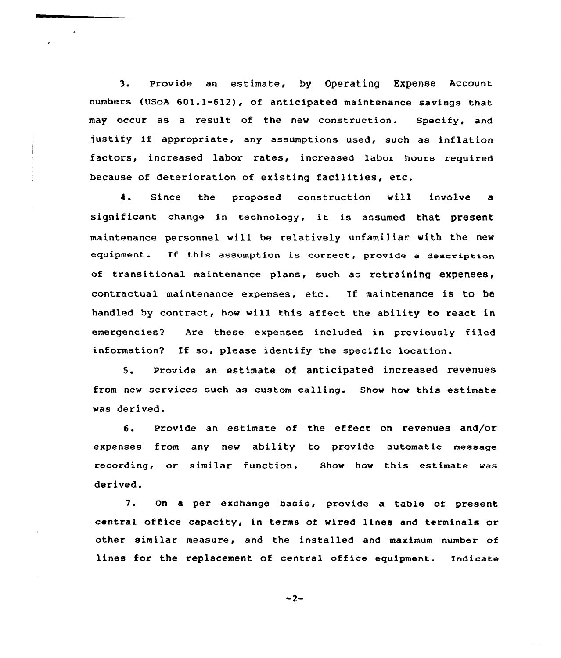3. Provide an estimate, by Operating Expense Account numbers (USoA 601.1-612), of anticipated maintenance savings that may occur as a result of the new construction. Specify, and justify if appropriate, any assumptions used, such as inflation factors, increased labor rates, increased labor hours required because of deterioration of existing facilities, etc.

 $\bullet$ 

4. Since the proposed construction will involve <sup>a</sup> significant change in technology, it is assumed that present maintenance personnel will be relatively unfamiliar with the new equipment. If this assumption is correct, provide a description of transitional maintenance plans, such as retraining expenses, contractual maintenance expenses, etc. If maintenance is to be handled by contract, how will this affect the ability to react in emergencies2 Are these expenses included in previously filed information2 If so, please identify the specific location.

5. Provide an estimate of anticipated increased revenues from new services such as custom calling. Show how this estimate was derived.

6. Provide an estimate of the effect on revenues and/or expenses from any new ability to provide automatic message recording, or similar function. Show how this estimate was derived.

7. On <sup>a</sup> per exchange basis, provide a table of present central office capacity, in terms of wired lines and terminals or other similar measure, and the installed and maximum number of lines for the replacement ot central office equipment. Indicate

 $-2-$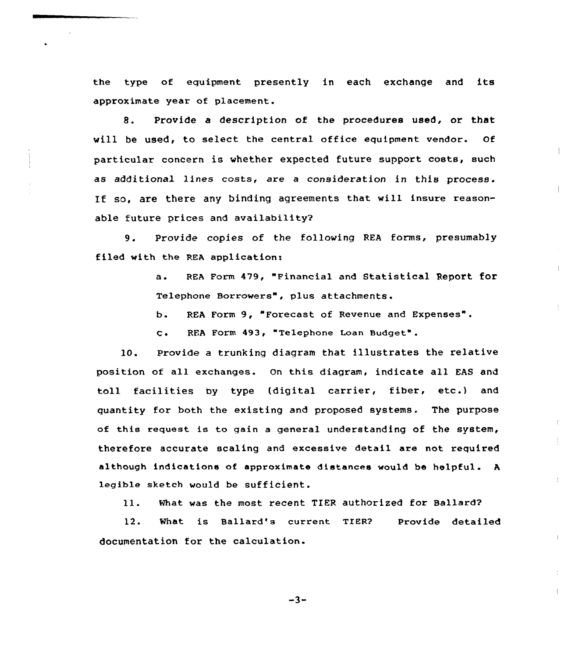the type of equipment presently in each exchange and its approximate year of placement.

8. Provide a description of the procedures used, or that will be used, to select the central office equipment vendor. Of particular concern is whether expected future support costs, such as additional lines costs, are a consideration in this process. If so, are there any binding agreements that will insure reasonable future prices and availability2

9. Provide copies of the following REA forms, presumably filed with the REA application:

> a. REA Form 479, "Financial and Statistical Report for Telephone Borrowers", plus attachments.

b. REA Form 9, "Forecast of Revenue and Expenses".

c. RFA Form 493, "Telephone Loan Budget".

10. Provide a trunking diagram that illustrates the relative position of all exchanges. On this diagram, indicate all EAS and toll facilities by type (digital carrier, fiber, etc.) and quantity for both the existing and proposed systems. The purpose of this request is to gain <sup>a</sup> general understanding of the system, therefore accurate scaling and excessive detail are not required although indications of approximate distances would be helpful. <sup>A</sup> legible sketch would be sufficient.

ll. What was the most recent TIER authorized for Ballard?

 $\pm$ 

12. What is Ballard's current TIER? Provide detailed documentation for the calculation.

 $-3-$